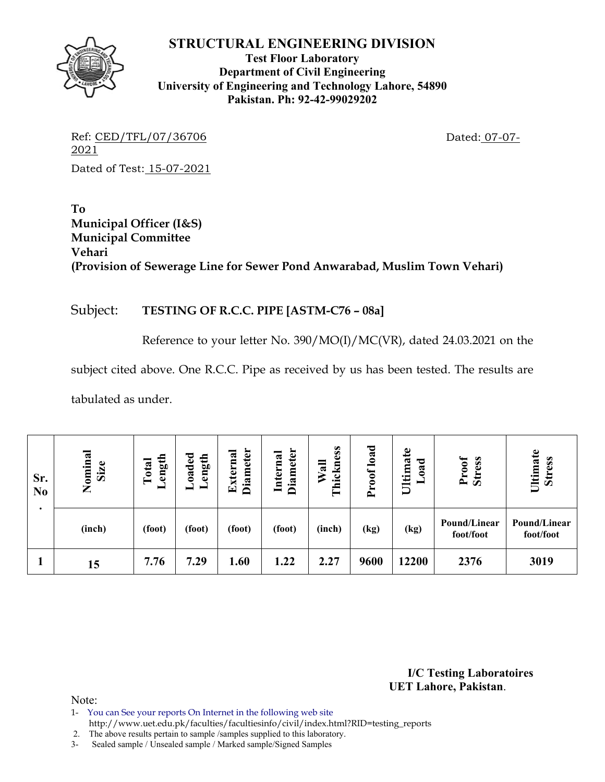

**Test Floor Laboratory Department of Civil Engineering University of Engineering and Technology Lahore, 54890 Pakistan. Ph: 92-42-99029202** 

Ref: CED/TFL/07/36706 Dated: 07-07-2021 Dated of Test: 15-07-2021

**To Municipal Officer (I&S) Municipal Committee Vehari (Provision of Sewerage Line for Sewer Pond Anwarabad, Muslim Town Vehari)** 

## Subject: **TESTING OF R.C.C. PIPE [ASTM-C76 – 08a]**

Reference to your letter No. 390/MO(I)/MC(VR), dated 24.03.2021 on the

subject cited above. One R.C.C. Pipe as received by us has been tested. The results are

tabulated as under.

| Sr.<br>N <sub>0</sub> | Nominal<br>Size | ength<br>Total<br>– | <b>Diameter</b><br>xterna<br>oaded<br>ength<br>囯 |        | Diameter<br>Internal | Thickness<br>Wall | Proof load | $\mathbf{e}$<br>$\sigma$<br>ರ<br>Ultima<br>≂<br>$\bullet$ | Proof<br><b>Stress</b>    | Ultimate<br><b>Stress</b> |  |
|-----------------------|-----------------|---------------------|--------------------------------------------------|--------|----------------------|-------------------|------------|-----------------------------------------------------------|---------------------------|---------------------------|--|
|                       | (inch)          | (foot)              | (foot)                                           | (foot) | (foot)               | (inch)            | (kg)       | (kg)                                                      | Pound/Linear<br>foot/foot | Pound/Linear<br>foot/foot |  |
|                       | 15              | 7.76                | 7.29                                             | 1.60   | 1.22                 | 2.27              | 9600       | 12200                                                     | 2376                      | 3019                      |  |

**I/C Testing Laboratoires UET Lahore, Pakistan**.

- 1- You can See your reports On Internet in the following web site
- http://www.uet.edu.pk/faculties/facultiesinfo/civil/index.html?RID=testing\_reports
- 2. The above results pertain to sample /samples supplied to this laboratory.
- 3- Sealed sample / Unsealed sample / Marked sample/Signed Samples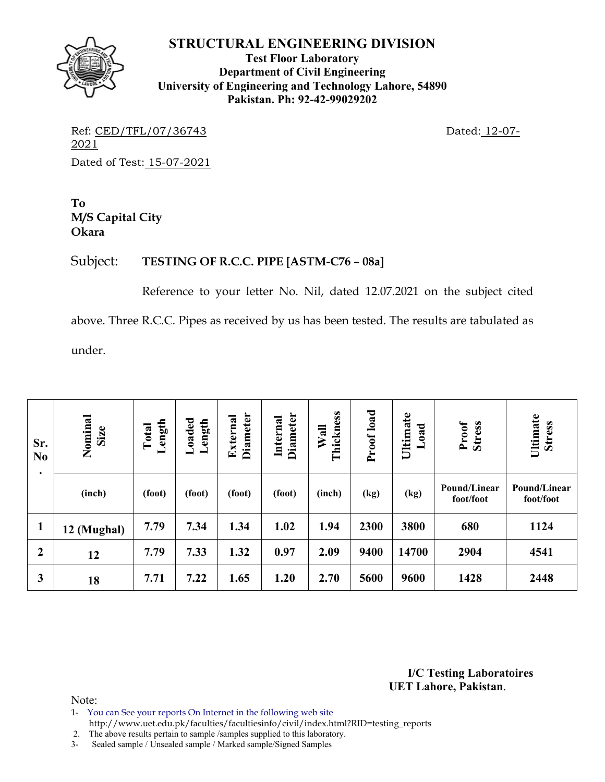**Test Floor Laboratory Department of Civil Engineering University of Engineering and Technology Lahore, 54890 Pakistan. Ph: 92-42-99029202** 

Ref: CED/TFL/07/36743 Dated: 12-07-2021 Dated of Test: 15-07-2021

**To M/S Capital City Okara** 

## Subject: **TESTING OF R.C.C. PIPE [ASTM-C76 – 08a]**

Reference to your letter No. Nil, dated 12.07.2021 on the subject cited above. Three R.C.C. Pipes as received by us has been tested. The results are tabulated as under.

| Sr.<br>N <sub>0</sub> | Nominal<br>Size | ength<br>Total<br>$\overline{\phantom{0}}$ | Loaded<br>Length | Diameter<br>External | <b>Diameter</b><br>Internal | Thickness<br>Wall | Proof load | Ultimate<br><b>b</b> ad<br>━ | Proof<br>Stress           | Ultimate<br><b>Stress</b> |
|-----------------------|-----------------|--------------------------------------------|------------------|----------------------|-----------------------------|-------------------|------------|------------------------------|---------------------------|---------------------------|
| $\bullet$             | (inch)          | (foot)                                     | (foot)           | (foot)               | (foot)                      | (inch)            | (kg)       | (kg)                         | Pound/Linear<br>foot/foot | Pound/Linear<br>foot/foot |
| $\mathbf{1}$          | 12 (Mughal)     | 7.79                                       | 7.34             | 1.34                 | 1.02                        | 1.94              | 2300       | 3800                         | 680                       | 1124                      |
| $\boldsymbol{2}$      | 12              | 7.79                                       | 7.33             | 1.32                 | 0.97                        | 2.09              | 9400       | 14700                        | 2904                      | 4541                      |
| 3                     | 18              | 7.71                                       | 7.22             | 1.65                 | 1.20                        | 2.70              | 5600       | 9600                         | 1428                      | 2448                      |

**I/C Testing Laboratoires UET Lahore, Pakistan**.

Note:

- 1- You can See your reports On Internet in the following web site http://www.uet.edu.pk/faculties/facultiesinfo/civil/index.html?RID=testing\_reports
- 2. The above results pertain to sample /samples supplied to this laboratory.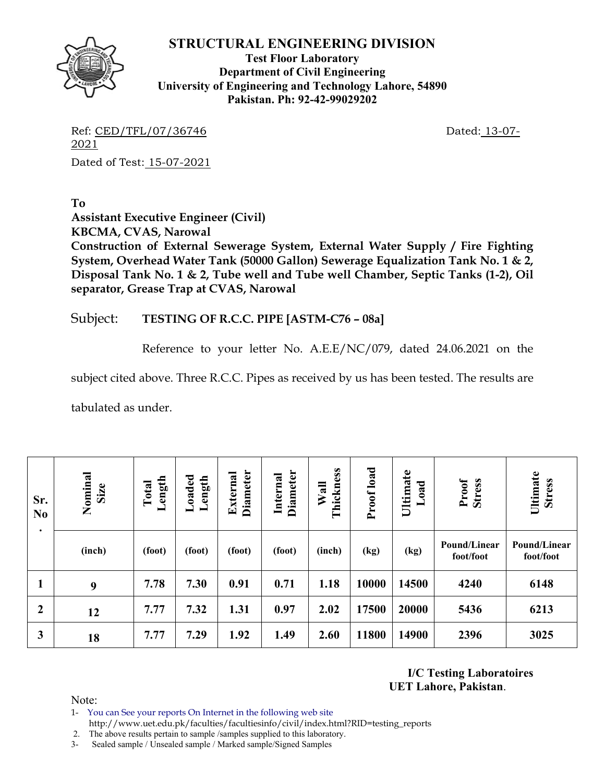

**Test Floor Laboratory Department of Civil Engineering University of Engineering and Technology Lahore, 54890 Pakistan. Ph: 92-42-99029202** 

Ref: CED/TFL/07/36746 Dated: 13-07-2021 Dated of Test: 15-07-2021

**To Assistant Executive Engineer (Civil) KBCMA, CVAS, Narowal Construction of External Sewerage System, External Water Supply / Fire Fighting System, Overhead Water Tank (50000 Gallon) Sewerage Equalization Tank No. 1 & 2, Disposal Tank No. 1 & 2, Tube well and Tube well Chamber, Septic Tanks (1-2), Oil separator, Grease Trap at CVAS, Narowal** 

#### Subject: **TESTING OF R.C.C. PIPE [ASTM-C76 – 08a]**

Reference to your letter No. A.E.E/NC/079, dated 24.06.2021 on the

subject cited above. Three R.C.C. Pipes as received by us has been tested. The results are

tabulated as under.

| Sr.<br>N <sub>0</sub><br>٠ | Nominal<br>Size | Length<br>Total | $\bf {Load}$<br>Length | Diameter<br>External | Diameter<br>Internal | Thickness<br>Wall | Proof load | Ultimate<br><sub>oad</sub> | Proof<br><b>Stress</b>    | Ultimate<br><b>Stress</b> |
|----------------------------|-----------------|-----------------|------------------------|----------------------|----------------------|-------------------|------------|----------------------------|---------------------------|---------------------------|
|                            | (inch)          | (foot)          | (foot)                 | (foot)               | (foot)               | (inch)            | (kg)       | (kg)                       | Pound/Linear<br>foot/foot | Pound/Linear<br>foot/foot |
|                            | 9               | 7.78            | 7.30                   | 0.91                 | 0.71                 | 1.18              | 10000      | 14500                      | 4240                      | 6148                      |
| $\boldsymbol{2}$           | 12              | 7.77            | 7.32                   | 1.31                 | 0.97                 | 2.02              | 17500      | 20000                      | 5436                      | 6213                      |
| 3                          | 18              | 7.77            | 7.29                   | 1.92                 | 1.49                 | 2.60              | 11800      | 14900                      | 2396                      | 3025                      |

#### **I/C Testing Laboratoires UET Lahore, Pakistan**.

Note:

1- You can See your reports On Internet in the following web site http://www.uet.edu.pk/faculties/facultiesinfo/civil/index.html?RID=testing\_reports

2. The above results pertain to sample /samples supplied to this laboratory.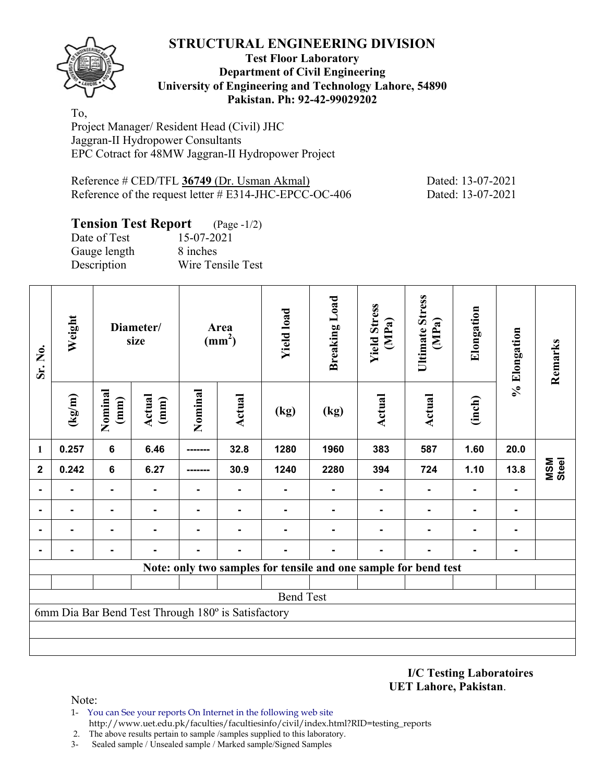

#### **Test Floor Laboratory Department of Civil Engineering University of Engineering and Technology Lahore, 54890 Pakistan. Ph: 92-42-99029202**

To, Project Manager/ Resident Head (Civil) JHC Jaggran-II Hydropower Consultants EPC Cotract for 48MW Jaggran-II Hydropower Project

| Reference # CED/TFL 36749 (Dr. Usman Akmal)               | Dated: 13-07-2021 |
|-----------------------------------------------------------|-------------------|
| Reference of the request letter $\#$ E314-JHC-EPCC-OC-406 | Dated: 13-07-2021 |

## **Tension Test Report** (Page -1/2)

| Date of Test | 15-07-2021        |
|--------------|-------------------|
| Gauge length | 8 inches          |
| Description  | Wire Tensile Test |

| Sr. No.      | Weight                                             | Diameter/<br>size<br>Nominal<br>(kg/m)<br>Actual<br>(mm)<br>(mm) |                | Area<br>(mm <sup>2</sup> ) |        | <b>Yield load</b> | <b>Breaking Load</b> | <b>Yield Stress</b><br>(MPa)                                    | <b>Ultimate Stress</b><br>(MPa) | Elongation | % Elongation | Remarks      |  |
|--------------|----------------------------------------------------|------------------------------------------------------------------|----------------|----------------------------|--------|-------------------|----------------------|-----------------------------------------------------------------|---------------------------------|------------|--------------|--------------|--|
|              |                                                    |                                                                  |                | Nominal                    | Actual | (kg)              | (kg)                 | Actual                                                          | <b>Actual</b>                   | (inch)     |              |              |  |
| $\mathbf{1}$ | 0.257                                              | $\bf 6$                                                          | 6.46           | -------                    | 32.8   | 1280              | 1960                 | 383                                                             | 587                             | 1.60       | 20.0         |              |  |
| $\mathbf{2}$ | 0.242                                              | $\bf 6$                                                          | 6.27           | -------                    | 30.9   | 1240              | 2280                 | 394                                                             | 724                             | 1.10       | 13.8         | MSM<br>Steel |  |
|              |                                                    | $\blacksquare$                                                   | $\blacksquare$ |                            |        |                   |                      |                                                                 |                                 |            |              |              |  |
|              |                                                    |                                                                  | $\blacksquare$ |                            |        |                   |                      |                                                                 |                                 |            |              |              |  |
|              |                                                    |                                                                  |                |                            |        |                   |                      |                                                                 |                                 |            |              |              |  |
|              |                                                    |                                                                  |                |                            |        |                   |                      |                                                                 |                                 |            |              |              |  |
|              |                                                    |                                                                  |                |                            |        |                   |                      | Note: only two samples for tensile and one sample for bend test |                                 |            |              |              |  |
|              |                                                    |                                                                  |                |                            |        |                   |                      |                                                                 |                                 |            |              |              |  |
|              |                                                    |                                                                  |                |                            |        | <b>Bend Test</b>  |                      |                                                                 |                                 |            |              |              |  |
|              | 6mm Dia Bar Bend Test Through 180° is Satisfactory |                                                                  |                |                            |        |                   |                      |                                                                 |                                 |            |              |              |  |
|              |                                                    |                                                                  |                |                            |        |                   |                      |                                                                 |                                 |            |              |              |  |
|              |                                                    |                                                                  |                |                            |        |                   |                      |                                                                 |                                 |            |              |              |  |

**I/C Testing Laboratoires UET Lahore, Pakistan**.

- 1- You can See your reports On Internet in the following web site http://www.uet.edu.pk/faculties/facultiesinfo/civil/index.html?RID=testing\_reports
- 2. The above results pertain to sample /samples supplied to this laboratory.
- 3- Sealed sample / Unsealed sample / Marked sample/Signed Samples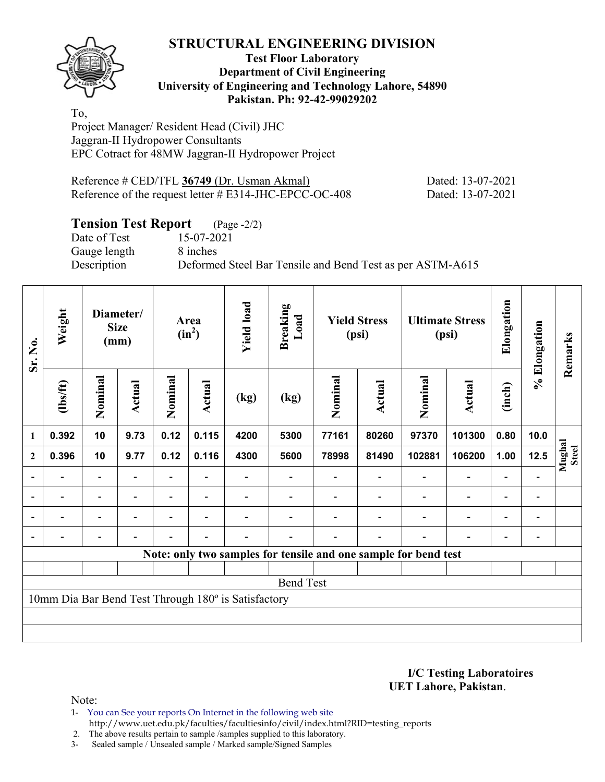

#### **Test Floor Laboratory Department of Civil Engineering University of Engineering and Technology Lahore, 54890 Pakistan. Ph: 92-42-99029202**

To, Project Manager/ Resident Head (Civil) JHC Jaggran-II Hydropower Consultants EPC Cotract for 48MW Jaggran-II Hydropower Project

| Reference # CED/TFL 36749 (Dr. Usman Akmal)               | Dated: 13-07-2021 |
|-----------------------------------------------------------|-------------------|
| Reference of the request letter $\#$ E314-JHC-EPCC-OC-408 | Dated: 13-07-2021 |

## **Tension Test Report** (Page -2/2)

Date of Test 15-07-2021 Gauge length 8 inches

Description Deformed Steel Bar Tensile and Bend Test as per ASTM-A615

| Sr. No.        | Weight<br>Diameter/<br><b>Size</b><br>(mm)          |                          |                | Area<br>$(in^2)$ |                          | <b>Yield load</b><br><b>Breaking</b><br>Load |                  |         | <b>Yield Stress</b><br>(psi)                                    |                          | <b>Ultimate Stress</b><br>(psi) | Elongation               | % Elongation             | Remarks         |
|----------------|-----------------------------------------------------|--------------------------|----------------|------------------|--------------------------|----------------------------------------------|------------------|---------|-----------------------------------------------------------------|--------------------------|---------------------------------|--------------------------|--------------------------|-----------------|
|                | (1bs/ft)                                            | Nominal                  | <b>Actual</b>  | Nominal          | <b>Actual</b>            | (kg)                                         | (kg)             | Nominal | <b>Actual</b>                                                   | Nominal                  | <b>Actual</b>                   | (inch)                   |                          |                 |
| $\mathbf{1}$   | 0.392                                               | 10                       | 9.73           | 0.12             | 0.115                    | 4200                                         | 5300             | 77161   | 80260                                                           | 97370                    | 101300                          | 0.80                     | 10.0                     |                 |
| $\mathbf{2}$   | 0.396                                               | 10                       | 9.77           | 0.12             | 0.116                    | 4300                                         | 5600             | 78998   | 81490                                                           | 102881                   | 106200                          | 1.00                     | 12.5                     | Mughal<br>Steel |
| $\overline{a}$ |                                                     | $\overline{\phantom{0}}$ |                |                  |                          |                                              |                  |         |                                                                 |                          | $\blacksquare$                  | $\overline{\phantom{0}}$ |                          |                 |
| $\blacksquare$ | ۰                                                   | $\overline{\phantom{a}}$ | ۰              | $\blacksquare$   |                          |                                              |                  |         | $\blacksquare$                                                  |                          | $\overline{\phantom{0}}$        | $\overline{\phantom{0}}$ | $\blacksquare$           |                 |
| $\blacksquare$ | $\overline{\phantom{0}}$                            | Ξ.                       | $\blacksquare$ | $\blacksquare$   | $\blacksquare$           |                                              |                  |         |                                                                 | $\overline{\phantom{0}}$ | $\blacksquare$                  | $\overline{\phantom{0}}$ | $\overline{\phantom{a}}$ |                 |
|                |                                                     | $\overline{\phantom{0}}$ |                |                  | $\overline{\phantom{0}}$ |                                              |                  |         |                                                                 |                          |                                 |                          |                          |                 |
|                |                                                     |                          |                |                  |                          |                                              |                  |         | Note: only two samples for tensile and one sample for bend test |                          |                                 |                          |                          |                 |
|                |                                                     |                          |                |                  |                          |                                              |                  |         |                                                                 |                          |                                 |                          |                          |                 |
|                |                                                     |                          |                |                  |                          |                                              | <b>Bend Test</b> |         |                                                                 |                          |                                 |                          |                          |                 |
|                | 10mm Dia Bar Bend Test Through 180° is Satisfactory |                          |                |                  |                          |                                              |                  |         |                                                                 |                          |                                 |                          |                          |                 |
|                |                                                     |                          |                |                  |                          |                                              |                  |         |                                                                 |                          |                                 |                          |                          |                 |
|                |                                                     |                          |                |                  |                          |                                              |                  |         |                                                                 |                          |                                 |                          |                          |                 |

**I/C Testing Laboratoires UET Lahore, Pakistan**.

Note:

1- You can See your reports On Internet in the following web site http://www.uet.edu.pk/faculties/facultiesinfo/civil/index.html?RID=testing\_reports

2. The above results pertain to sample /samples supplied to this laboratory.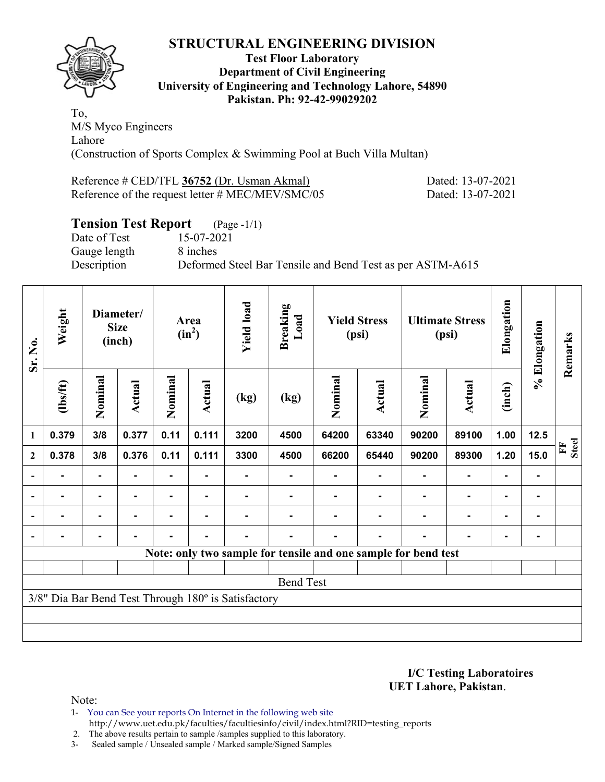

#### **Test Floor Laboratory Department of Civil Engineering University of Engineering and Technology Lahore, 54890 Pakistan. Ph: 92-42-99029202**

To, M/S Myco Engineers Lahore (Construction of Sports Complex & Swimming Pool at Buch Villa Multan)

| Reference # CED/TFL 36752 (Dr. Usman Akmal)      |  |
|--------------------------------------------------|--|
| Reference of the request letter # MEC/MEV/SMC/05 |  |

Dated: 13-07-2021 Dated: 13-07-2021

## **Tension Test Report** (Page -1/1)

Date of Test 15-07-2021 Gauge length 8 inches

Description Deformed Steel Bar Tensile and Bend Test as per ASTM-A615

| Sr. No.          | Weight                                              | Diameter/<br><b>Size</b><br>(inch) |                | Area<br>$(in^2)$ |                | <b>Yield load</b><br><b>Breaking</b><br>Load |                | <b>Yield Stress</b><br>(psi) |                                                                | <b>Ultimate Stress</b><br>(psi) |                | Elongation     | % Elongation | Remarks                     |
|------------------|-----------------------------------------------------|------------------------------------|----------------|------------------|----------------|----------------------------------------------|----------------|------------------------------|----------------------------------------------------------------|---------------------------------|----------------|----------------|--------------|-----------------------------|
|                  | (1bs/ft)                                            | Nominal                            | Actual         | Nominal          | <b>Actual</b>  | (kg)                                         | (kg)           | Nominal                      | Actual                                                         | Nominal                         | <b>Actual</b>  | (inch)         |              |                             |
| $\mathbf{1}$     | 0.379                                               | 3/8                                | 0.377          | 0.11             | 0.111          | 3200                                         | 4500           | 64200                        | 63340                                                          | 90200                           | 89100          | 1.00           | $12.5$       |                             |
| $\boldsymbol{2}$ | 0.378                                               | 3/8                                | 0.376          | 0.11             | 0.111          | 3300                                         | 4500           | 66200                        | 65440                                                          | 90200                           | 89300          | 1.20           | 15.0         | <b>Steel</b><br>$F_{\rm I}$ |
| $\blacksquare$   |                                                     | ۰                                  |                |                  |                |                                              |                |                              |                                                                |                                 | $\blacksquare$ | ۰              |              |                             |
|                  | $\blacksquare$                                      | $\blacksquare$                     | $\blacksquare$ | ٠                | $\blacksquare$ |                                              |                |                              | -                                                              |                                 | ۰              | $\blacksquare$ |              |                             |
|                  | $\blacksquare$                                      | $\blacksquare$                     | ۰              | Ξ.               | $\blacksquare$ | $\blacksquare$                               | Ξ.             |                              |                                                                | $\blacksquare$                  | $\blacksquare$ | $\blacksquare$ |              |                             |
|                  |                                                     | ۰                                  | $\blacksquare$ | $\blacksquare$   | ۰              | $\blacksquare$                               | $\blacksquare$ | $\blacksquare$               | ۰                                                              |                                 | $\blacksquare$ | $\blacksquare$ |              |                             |
|                  |                                                     |                                    |                |                  |                |                                              |                |                              | Note: only two sample for tensile and one sample for bend test |                                 |                |                |              |                             |
|                  |                                                     |                                    |                |                  |                |                                              |                |                              |                                                                |                                 |                |                |              |                             |
|                  | <b>Bend Test</b>                                    |                                    |                |                  |                |                                              |                |                              |                                                                |                                 |                |                |              |                             |
|                  | 3/8" Dia Bar Bend Test Through 180° is Satisfactory |                                    |                |                  |                |                                              |                |                              |                                                                |                                 |                |                |              |                             |
|                  |                                                     |                                    |                |                  |                |                                              |                |                              |                                                                |                                 |                |                |              |                             |
|                  |                                                     |                                    |                |                  |                |                                              |                |                              |                                                                |                                 |                |                |              |                             |

**I/C Testing Laboratoires UET Lahore, Pakistan**.

Note:

1- You can See your reports On Internet in the following web site http://www.uet.edu.pk/faculties/facultiesinfo/civil/index.html?RID=testing\_reports

2. The above results pertain to sample /samples supplied to this laboratory.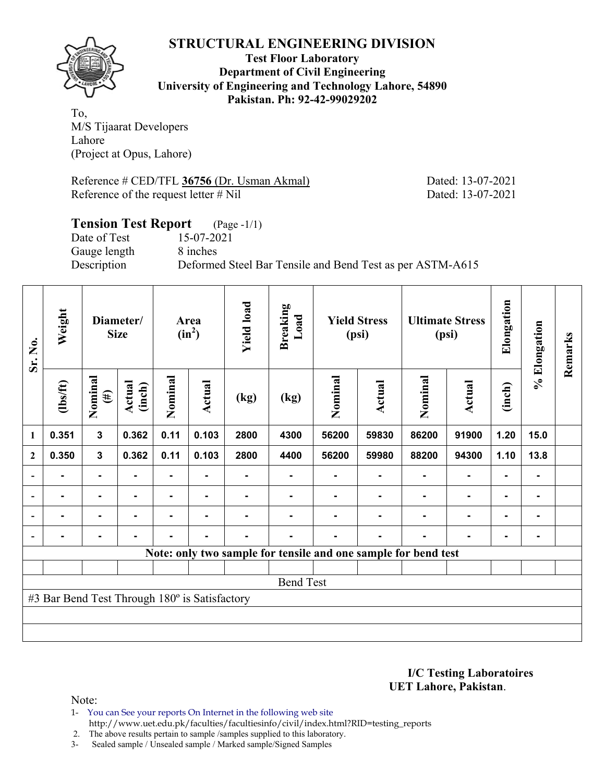

**Test Floor Laboratory Department of Civil Engineering University of Engineering and Technology Lahore, 54890 Pakistan. Ph: 92-42-99029202** 

To, M/S Tijaarat Developers Lahore (Project at Opus, Lahore)

Reference # CED/TFL **36756** (Dr. Usman Akmal) Dated: 13-07-2021 Reference of the request letter # Nil Dated: 13-07-2021

## **Tension Test Report** (Page -1/1) Date of Test 15-07-2021 Gauge length 8 inches Description Deformed Steel Bar Tensile and Bend Test as per ASTM-A615

| Sr. No.                  | Weight                                        |                   | Diameter/<br>Area<br>$(in^2)$<br><b>Size</b> |         |                | <b>Yield load</b> | Breaking<br>Load | <b>Yield Stress</b><br>(psi) |                                                                | <b>Ultimate Stress</b><br>(psi) |                | Elongation | % Elongation | Remarks |
|--------------------------|-----------------------------------------------|-------------------|----------------------------------------------|---------|----------------|-------------------|------------------|------------------------------|----------------------------------------------------------------|---------------------------------|----------------|------------|--------------|---------|
|                          | $\frac{2}{10}$                                | Nominal<br>$(\#)$ | Actual<br>(inch)                             | Nominal | <b>Actual</b>  | (kg)              | (kg)             | Nominal                      | Actual                                                         | Nominal                         | <b>Actual</b>  | (inch)     |              |         |
| $\mathbf{1}$             | 0.351                                         | 3                 | 0.362                                        | 0.11    | 0.103          | 2800              | 4300             | 56200                        | 59830                                                          | 86200                           | 91900          | 1.20       | 15.0         |         |
| $\mathbf{2}$             | 0.350                                         | $\mathbf{3}$      | 0.362                                        | 0.11    | 0.103          | 2800              | 4400             | 56200                        | 59980                                                          | 88200                           | 94300          | 1.10       | 13.8         |         |
| $\overline{\phantom{0}}$ |                                               | $\blacksquare$    |                                              |         |                |                   |                  |                              |                                                                |                                 |                |            |              |         |
| $\blacksquare$           | $\blacksquare$                                | ٠                 |                                              |         |                |                   |                  |                              |                                                                |                                 | $\blacksquare$ | ۰          | ۰            |         |
| $\overline{\phantom{0}}$ |                                               | ٠                 |                                              |         |                |                   |                  |                              |                                                                |                                 | $\blacksquare$ | ۰          |              |         |
|                          | -                                             | Ξ.                |                                              |         | $\blacksquare$ | Ξ.                |                  |                              | $\blacksquare$                                                 |                                 | $\blacksquare$ | ۰          | ۰            |         |
|                          |                                               |                   |                                              |         |                |                   |                  |                              | Note: only two sample for tensile and one sample for bend test |                                 |                |            |              |         |
|                          |                                               |                   |                                              |         |                |                   |                  |                              |                                                                |                                 |                |            |              |         |
|                          | <b>Bend Test</b>                              |                   |                                              |         |                |                   |                  |                              |                                                                |                                 |                |            |              |         |
|                          | #3 Bar Bend Test Through 180° is Satisfactory |                   |                                              |         |                |                   |                  |                              |                                                                |                                 |                |            |              |         |
|                          |                                               |                   |                                              |         |                |                   |                  |                              |                                                                |                                 |                |            |              |         |
|                          |                                               |                   |                                              |         |                |                   |                  |                              |                                                                |                                 |                |            |              |         |

**I/C Testing Laboratoires UET Lahore, Pakistan**.

- 1- You can See your reports On Internet in the following web site http://www.uet.edu.pk/faculties/facultiesinfo/civil/index.html?RID=testing\_reports
- 2. The above results pertain to sample /samples supplied to this laboratory.
- 3- Sealed sample / Unsealed sample / Marked sample/Signed Samples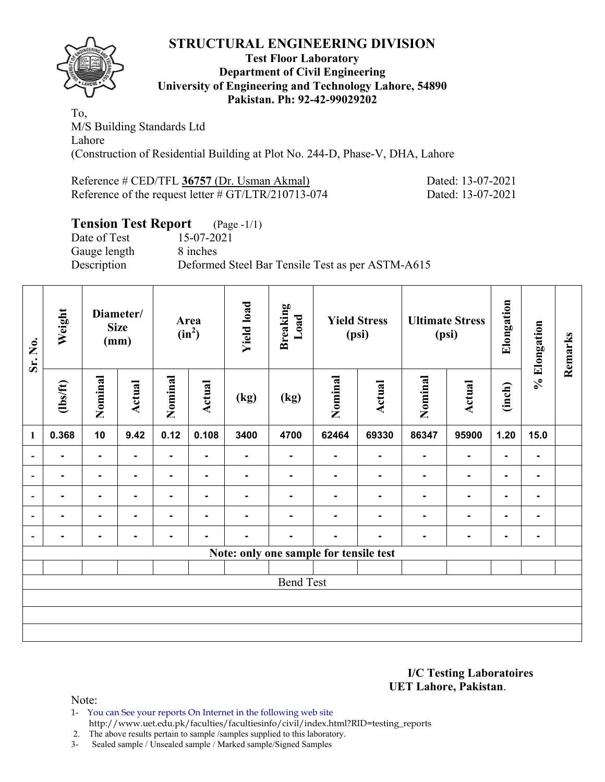

#### **Test Floor Laboratory Department of Civil Engineering University of Engineering and Technology Lahore, 54890 Pakistan. Ph: 92-42-99029202**

To, M/S Building Standards Ltd Lahore (Construction of Residential Building at Plot No. 244-D, Phase-V, DHA, Lahore

Reference # CED/TFL **36757** (Dr. Usman Akmal) Dated: 13-07-2021 Reference of the request letter # GT/LTR/210713-074 Dated: 13-07-2021

## **Tension Test Report** (Page -1/1)

Date of Test 15-07-2021 Gauge length 8 inches

Description Deformed Steel Bar Tensile Test as per ASTM-A615

| Sr. No.                  | Weight         |                | Diameter/<br><b>Size</b><br>(mm) |                | Area<br>$(in^2)$ | <b>Yield load</b> | <b>Breaking</b><br>Load |                                        | <b>Yield Stress</b><br>(psi) |                | <b>Ultimate Stress</b><br>(psi) | Elongation     | % Elongation   | Remarks |
|--------------------------|----------------|----------------|----------------------------------|----------------|------------------|-------------------|-------------------------|----------------------------------------|------------------------------|----------------|---------------------------------|----------------|----------------|---------|
|                          | $\frac{2}{10}$ | Nominal        | <b>Actual</b>                    | Nominal        | Actual           | (kg)              | (kg)                    | Nominal                                | Actual                       | Nominal        | <b>Actual</b>                   | (inch)         |                |         |
| $\mathbf{1}$             | 0.368          | 10             | 9.42                             | 0.12           | 0.108            | 3400              | 4700                    | 62464                                  | 69330                        | 86347          | 95900                           | 1.20           | 15.0           |         |
| $\overline{\phantom{a}}$ | $\blacksquare$ | $\blacksquare$ | ۰.                               | $\blacksquare$ |                  | $\blacksquare$    | $\blacksquare$          | ۰                                      | ۰.                           | ۰              | $\blacksquare$                  | $\blacksquare$ |                |         |
| ۰                        | $\blacksquare$ | $\blacksquare$ | ۰                                | ۰              | $\blacksquare$   | $\blacksquare$    | $\blacksquare$          | -                                      | $\blacksquare$               | $\blacksquare$ | $\blacksquare$                  | $\blacksquare$ | ۰              |         |
| $\overline{\phantom{a}}$ | $\blacksquare$ | $\blacksquare$ | ۰                                | $\blacksquare$ | $\blacksquare$   | $\blacksquare$    | $\blacksquare$          | -                                      | $\blacksquare$               | $\blacksquare$ | $\blacksquare$                  | $\blacksquare$ | $\blacksquare$ |         |
|                          | $\blacksquare$ | -              |                                  | -              | $\blacksquare$   |                   |                         |                                        |                              | ۰              | $\blacksquare$                  | $\blacksquare$ | ۰              |         |
|                          |                | -              |                                  | -              | ۰                |                   | ۰                       |                                        |                              |                | $\blacksquare$                  | ۰              | $\blacksquare$ |         |
|                          |                |                |                                  |                |                  |                   |                         | Note: only one sample for tensile test |                              |                |                                 |                |                |         |
|                          |                |                |                                  |                |                  |                   |                         |                                        |                              |                |                                 |                |                |         |
|                          |                |                |                                  |                |                  |                   | <b>Bend Test</b>        |                                        |                              |                |                                 |                |                |         |
|                          |                |                |                                  |                |                  |                   |                         |                                        |                              |                |                                 |                |                |         |
|                          |                |                |                                  |                |                  |                   |                         |                                        |                              |                |                                 |                |                |         |
|                          |                |                |                                  |                |                  |                   |                         |                                        |                              |                |                                 |                |                |         |

**I/C Testing Laboratoires UET Lahore, Pakistan**.

- 1- You can See your reports On Internet in the following web site
	- http://www.uet.edu.pk/faculties/facultiesinfo/civil/index.html?RID=testing\_reports
- 2. The above results pertain to sample /samples supplied to this laboratory.
- 3- Sealed sample / Unsealed sample / Marked sample/Signed Samples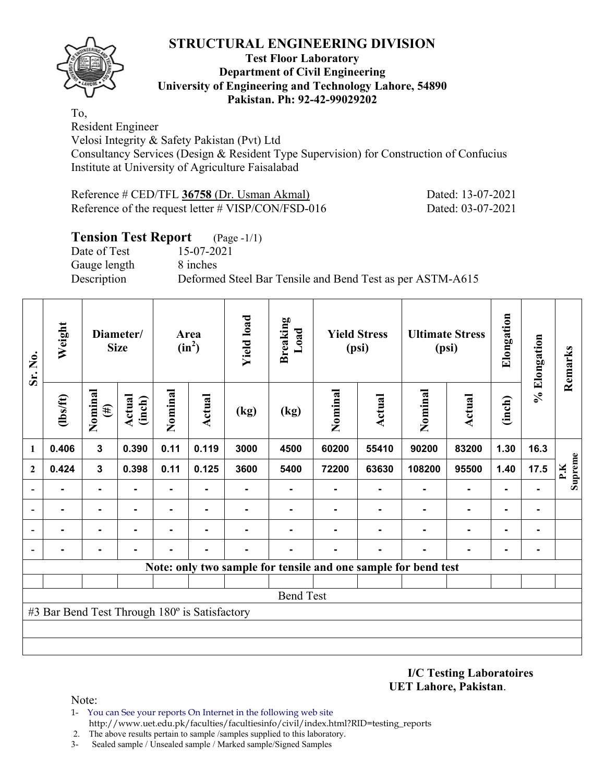

#### **Test Floor Laboratory Department of Civil Engineering University of Engineering and Technology Lahore, 54890 Pakistan. Ph: 92-42-99029202**

To, Resident Engineer

Velosi Integrity & Safety Pakistan (Pvt) Ltd Consultancy Services (Design & Resident Type Supervision) for Construction of Confucius Institute at University of Agriculture Faisalabad

| Reference # CED/TFL 36758 (Dr. Usman Akmal)           | Dated: 13-07-2021 |
|-------------------------------------------------------|-------------------|
| Reference of the request letter $\#$ VISP/CON/FSD-016 | Dated: 03-07-2021 |

## **Tension Test Report** (Page -1/1)

Date of Test 15-07-2021 Gauge length 8 inches

Description Deformed Steel Bar Tensile and Bend Test as per ASTM-A615

| Sr. No.      | Weight                                        | Diameter/<br><b>Size</b> |                  | Area<br>$(in^2)$ |               | <b>Yield load</b> | <b>Breaking</b><br>Load | <b>Yield Stress</b><br>(psi) |               | <b>Ultimate Stress</b><br>(psi)                                |                | Elongation | % Elongation   | Remarks        |
|--------------|-----------------------------------------------|--------------------------|------------------|------------------|---------------|-------------------|-------------------------|------------------------------|---------------|----------------------------------------------------------------|----------------|------------|----------------|----------------|
|              | $\frac{2}{10}$                                | Nominal<br>$(\#)$        | Actual<br>(inch) | Nominal          | <b>Actual</b> | (kg)              | (kg)                    | Nominal                      | <b>Actual</b> | Nominal                                                        | Actual         | (inch)     |                |                |
| 1            | 0.406                                         | $\mathbf{3}$             | 0.390            | 0.11             | 0.119         | 3000              | 4500                    | 60200                        | 55410         | 90200                                                          | 83200          | 1.30       | 16.3           |                |
| $\mathbf{2}$ | 0.424                                         | $\mathbf{3}$             | 0.398            | 0.11             | 0.125         | 3600              | 5400                    | 72200                        | 63630         | 108200                                                         | 95500          | 1.40       | 17.5           | Supreme<br>P.K |
|              |                                               | $\blacksquare$           |                  | ۰                |               |                   |                         |                              |               |                                                                | $\blacksquare$ |            |                |                |
|              |                                               | $\blacksquare$           |                  |                  |               |                   |                         |                              |               |                                                                |                |            | ۰              |                |
|              |                                               | ۰                        |                  |                  |               |                   |                         |                              |               |                                                                |                |            | $\blacksquare$ |                |
|              |                                               |                          |                  |                  |               |                   | -                       |                              |               |                                                                |                |            | ۰              |                |
|              |                                               |                          |                  |                  |               |                   |                         |                              |               | Note: only two sample for tensile and one sample for bend test |                |            |                |                |
|              |                                               |                          |                  |                  |               |                   |                         |                              |               |                                                                |                |            |                |                |
|              |                                               |                          |                  |                  |               |                   | <b>Bend Test</b>        |                              |               |                                                                |                |            |                |                |
|              | #3 Bar Bend Test Through 180° is Satisfactory |                          |                  |                  |               |                   |                         |                              |               |                                                                |                |            |                |                |
|              |                                               |                          |                  |                  |               |                   |                         |                              |               |                                                                |                |            |                |                |
|              |                                               |                          |                  |                  |               |                   |                         |                              |               |                                                                |                |            |                |                |

**I/C Testing Laboratoires UET Lahore, Pakistan**.

- 1- You can See your reports On Internet in the following web site http://www.uet.edu.pk/faculties/facultiesinfo/civil/index.html?RID=testing\_reports
- 2. The above results pertain to sample /samples supplied to this laboratory.
- 3- Sealed sample / Unsealed sample / Marked sample/Signed Samples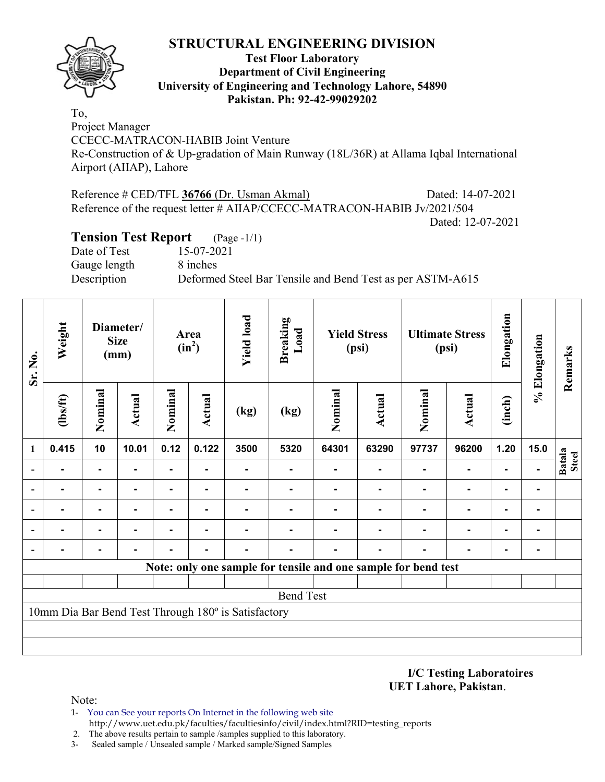

#### **Test Floor Laboratory Department of Civil Engineering University of Engineering and Technology Lahore, 54890 Pakistan. Ph: 92-42-99029202**

To, Project Manager CCECC-MATRACON-HABIB Joint Venture Re-Construction of & Up-gradation of Main Runway (18L/36R) at Allama Iqbal International Airport (AIIAP), Lahore

Reference # CED/TFL **36766** (Dr. Usman Akmal) Dated: 14-07-2021 Reference of the request letter # AIIAP/CCECC-MATRACON-HABIB Jv/2021/504 Dated: 12-07-2021

## **Tension Test Report** (Page -1/1)

Date of Test 15-07-2021 Gauge length 8 inches

Description Deformed Steel Bar Tensile and Bend Test as per ASTM-A615

| Sr. No.                  | Weight         | Diameter/<br><b>Size</b><br>(mm) |        | Area<br>$(in^2)$ |               | <b>Yield load</b>                                   | <b>Breaking</b><br>Load                                        | <b>Yield Stress</b><br>(psi) |               | <b>Ultimate Stress</b><br>(psi) |                | Elongation     | % Elongation   | Remarks                       |
|--------------------------|----------------|----------------------------------|--------|------------------|---------------|-----------------------------------------------------|----------------------------------------------------------------|------------------------------|---------------|---------------------------------|----------------|----------------|----------------|-------------------------------|
|                          | $\frac{2}{10}$ | Nominal                          | Actual | Nominal          | <b>Actual</b> | (kg)                                                | (kg)                                                           | Nominal                      | <b>Actual</b> | Nominal                         | <b>Actual</b>  | (inch)         |                |                               |
| 1                        | 0.415          | 10                               | 10.01  | 0.12             | 0.122         | 3500                                                | 5320                                                           | 64301                        | 63290         | 97737                           | 96200          | 1.20           | 15.0           |                               |
|                          | ۰              | $\blacksquare$                   |        | ٠.               |               | ۰                                                   |                                                                |                              |               |                                 | $\blacksquare$ | $\blacksquare$ | $\blacksquare$ | <b>Batala</b><br><b>Steel</b> |
|                          |                | $\blacksquare$                   |        | ۰                |               |                                                     |                                                                |                              |               |                                 | $\blacksquare$ | $\blacksquare$ | ۰              |                               |
| $\overline{\phantom{0}}$ |                |                                  |        |                  |               |                                                     |                                                                |                              |               |                                 |                |                |                |                               |
| $\overline{\phantom{a}}$ |                | ۰                                |        |                  |               |                                                     |                                                                |                              |               |                                 |                | $\blacksquare$ | $\blacksquare$ |                               |
| $\overline{\phantom{a}}$ |                |                                  |        |                  |               |                                                     |                                                                |                              |               |                                 |                | $\blacksquare$ | $\blacksquare$ |                               |
|                          |                |                                  |        |                  |               |                                                     | Note: only one sample for tensile and one sample for bend test |                              |               |                                 |                |                |                |                               |
|                          |                |                                  |        |                  |               |                                                     |                                                                |                              |               |                                 |                |                |                |                               |
|                          |                |                                  |        |                  |               |                                                     | <b>Bend Test</b>                                               |                              |               |                                 |                |                |                |                               |
|                          |                |                                  |        |                  |               | 10mm Dia Bar Bend Test Through 180° is Satisfactory |                                                                |                              |               |                                 |                |                |                |                               |
|                          |                |                                  |        |                  |               |                                                     |                                                                |                              |               |                                 |                |                |                |                               |
|                          |                |                                  |        |                  |               |                                                     |                                                                |                              |               |                                 |                |                |                |                               |

**I/C Testing Laboratoires UET Lahore, Pakistan**.

Note:

1- You can See your reports On Internet in the following web site http://www.uet.edu.pk/faculties/facultiesinfo/civil/index.html?RID=testing\_reports

2. The above results pertain to sample /samples supplied to this laboratory.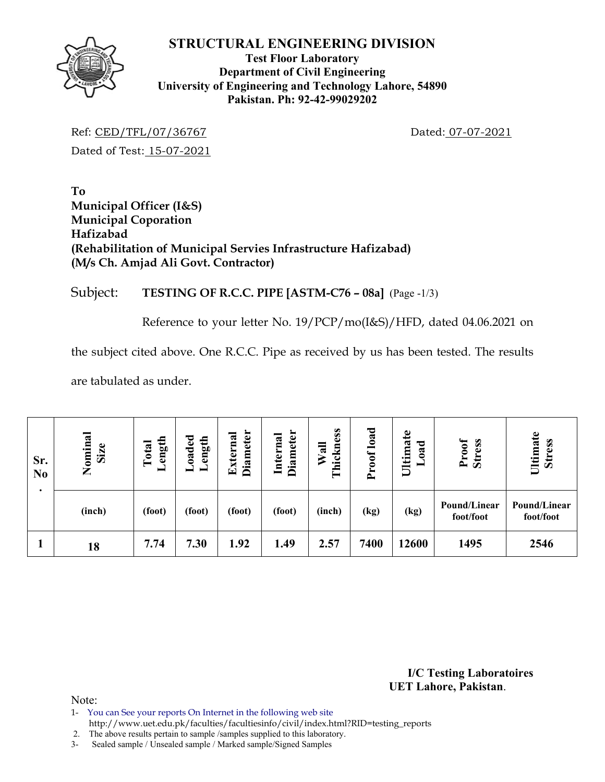

#### **Test Floor Laboratory Department of Civil Engineering University of Engineering and Technology Lahore, 54890 Pakistan. Ph: 92-42-99029202**

Ref: CED/TFL/07/36767 Dated: 07-07-2021 Dated of Test: 15-07-2021

**To Municipal Officer (I&S) Municipal Coporation Hafizabad (Rehabilitation of Municipal Servies Infrastructure Hafizabad) (M/s Ch. Amjad Ali Govt. Contractor)** 

## Subject: **TESTING OF R.C.C. PIPE [ASTM-C76 – 08a]** (Page -1/3)

Reference to your letter No. 19/PCP/mo(I&S)/HFD, dated 04.06.2021 on

the subject cited above. One R.C.C. Pipe as received by us has been tested. The results

are tabulated as under.

| Sr.<br>N <sub>0</sub> | Nominal<br>Size | ength<br>Total<br>▬ | oaded<br>ength | <b>Diameter</b><br>Externa | <b>Diameter</b><br>Internal | hickness<br>Wall<br>۳ | load<br>roof<br>$\sim$ | $\mathbf{e}$<br>$\sigma$<br>ಕ<br>Ultima<br>$\mathbf{a}$ | Proof<br><b>Stress</b>    | Ultimate<br><b>Stress</b> |
|-----------------------|-----------------|---------------------|----------------|----------------------------|-----------------------------|-----------------------|------------------------|---------------------------------------------------------|---------------------------|---------------------------|
|                       | (inch)          | (foot)              | (foot)         | (foot)                     | (foot)                      | (inch)                | (kg)                   | (kg)                                                    | Pound/Linear<br>foot/foot | Pound/Linear<br>foot/foot |
|                       | 18              | 7.74                | 7.30           | 1.92                       | 1.49                        | 2.57                  | 7400                   | 12600                                                   | 1495                      | 2546                      |

**I/C Testing Laboratoires UET Lahore, Pakistan**.

Note:

- 1- You can See your reports On Internet in the following web site
- http://www.uet.edu.pk/faculties/facultiesinfo/civil/index.html?RID=testing\_reports

2. The above results pertain to sample /samples supplied to this laboratory.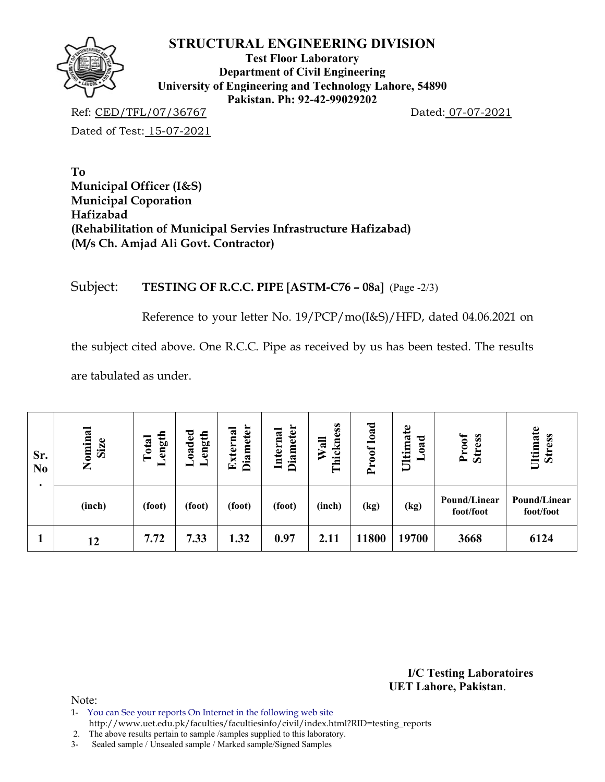

**Test Floor Laboratory Department of Civil Engineering University of Engineering and Technology Lahore, 54890 Pakistan. Ph: 92-42-99029202** 

Ref: CED/TFL/07/36767 Dated: 07-07-2021

Dated of Test: 15-07-2021

**To Municipal Officer (I&S) Municipal Coporation Hafizabad (Rehabilitation of Municipal Servies Infrastructure Hafizabad) (M/s Ch. Amjad Ali Govt. Contractor)** 

## Subject: **TESTING OF R.C.C. PIPE [ASTM-C76 – 08a]** (Page -2/3)

Reference to your letter No. 19/PCP/mo(I&S)/HFD, dated 04.06.2021 on

the subject cited above. One R.C.C. Pipe as received by us has been tested. The results

are tabulated as under.

| Sr.<br>N <sub>0</sub> | Nominal<br>Size | ength<br>Total<br>− | oaded<br>ength | <b>Diameter</b><br>xterna<br>囯 | <b>Diameter</b><br>Internal | Thickness<br>Wall | load<br>roof<br>$\sim$ | Ultimate<br>ರ<br>$\boldsymbol{a}$ | Proof<br><b>Stress</b>    | Ultimate<br><b>Stress</b> |
|-----------------------|-----------------|---------------------|----------------|--------------------------------|-----------------------------|-------------------|------------------------|-----------------------------------|---------------------------|---------------------------|
|                       | (inch)          | (foot)              | (foot)         | (foot)                         | (foot)                      | (inch)            | (kg)                   | (kg)                              | Pound/Linear<br>foot/foot | Pound/Linear<br>foot/foot |
|                       | 12              | 7.72                | 7.33           | 1.32                           | 0.97                        | 2.11              | 11800                  | 19700                             | 3668                      | 6124                      |

**I/C Testing Laboratoires UET Lahore, Pakistan**.

- 1- You can See your reports On Internet in the following web site
- http://www.uet.edu.pk/faculties/facultiesinfo/civil/index.html?RID=testing\_reports
- 2. The above results pertain to sample /samples supplied to this laboratory.
- 3- Sealed sample / Unsealed sample / Marked sample/Signed Samples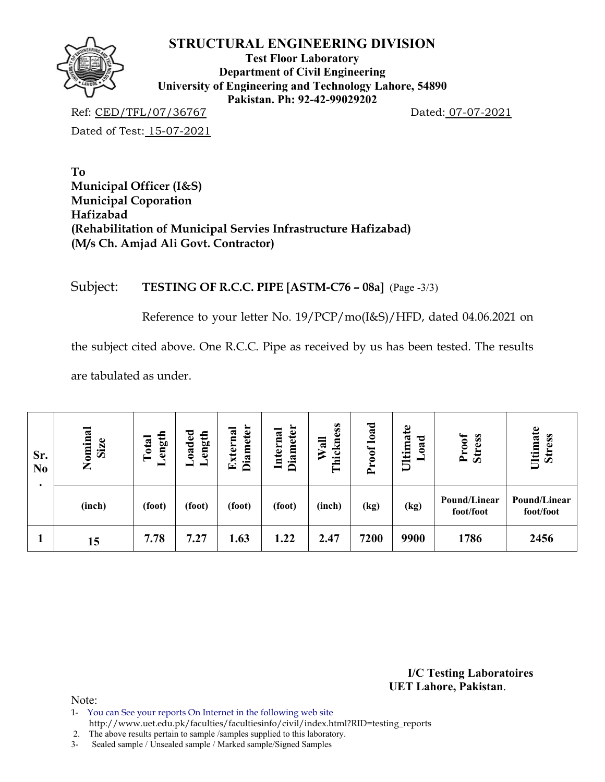

**Test Floor Laboratory Department of Civil Engineering University of Engineering and Technology Lahore, 54890 Pakistan. Ph: 92-42-99029202** 

Ref: CED/TFL/07/36767 Dated: 07-07-2021

Dated of Test: 15-07-2021

**To Municipal Officer (I&S) Municipal Coporation Hafizabad (Rehabilitation of Municipal Servies Infrastructure Hafizabad) (M/s Ch. Amjad Ali Govt. Contractor)** 

## Subject: **TESTING OF R.C.C. PIPE [ASTM-C76 – 08a]** (Page -3/3)

Reference to your letter No. 19/PCP/mo(I&S)/HFD, dated 04.06.2021 on

the subject cited above. One R.C.C. Pipe as received by us has been tested. The results

are tabulated as under.

| Sr.<br>N <sub>0</sub> | Nominal<br>Size | ength<br>Total<br>− | oaded<br>ength | <b>Diameter</b><br>xterna<br>囯 | <b>Diameter</b><br>Internal | hickness<br>Wall<br>Ē | load<br>roof<br>$\sim$ | Ultimate<br>ರ<br>$\boldsymbol{a}$ | Proof<br><b>Stress</b>    | Ultimate<br><b>Stress</b> |
|-----------------------|-----------------|---------------------|----------------|--------------------------------|-----------------------------|-----------------------|------------------------|-----------------------------------|---------------------------|---------------------------|
|                       | (inch)          | (foot)              | (foot)         | (foot)                         | (foot)                      | (inch)                | (kg)                   | (kg)                              | Pound/Linear<br>foot/foot | Pound/Linear<br>foot/foot |
|                       | 15              | 7.78                | 7.27           | 1.63                           | 1.22                        | 2.47                  | 7200                   | 9900                              | 1786                      | 2456                      |

**I/C Testing Laboratoires UET Lahore, Pakistan**.

Note:

1- You can See your reports On Internet in the following web site

http://www.uet.edu.pk/faculties/facultiesinfo/civil/index.html?RID=testing\_reports

2. The above results pertain to sample /samples supplied to this laboratory.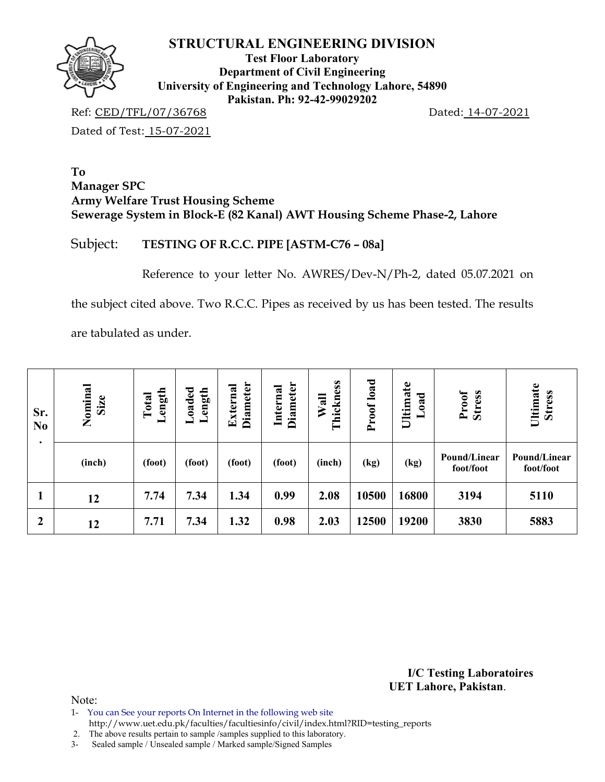

**Test Floor Laboratory Department of Civil Engineering University of Engineering and Technology Lahore, 54890 Pakistan. Ph: 92-42-99029202** 

Ref: CED/TFL/07/36768 Dated: 14-07-2021 Dated of Test: 15-07-2021

**To Manager SPC Army Welfare Trust Housing Scheme Sewerage System in Block-E (82 Kanal) AWT Housing Scheme Phase-2, Lahore** 

## Subject: **TESTING OF R.C.C. PIPE [ASTM-C76 – 08a]**

Reference to your letter No. AWRES/Dev-N/Ph-2, dated 05.07.2021 on

the subject cited above. Two R.C.C. Pipes as received by us has been tested. The results

are tabulated as under.

| Sr.<br>N <sub>0</sub> | Nominal<br>Size | oaded<br>Length<br>ength<br>Total<br>- |        | <b>Diameter</b><br>Diameter<br>External<br>Internal |        | Proof load<br>Thickness<br>Wall |       | Ultimate<br>Load | <b>Stress</b><br>Proof    | Ultimate<br><b>Stress</b> |  |
|-----------------------|-----------------|----------------------------------------|--------|-----------------------------------------------------|--------|---------------------------------|-------|------------------|---------------------------|---------------------------|--|
|                       | (inch)          | (foot)                                 | (foot) | (foot)                                              | (foot) | (inch)                          | (kg)  | (kg)             | Pound/Linear<br>foot/foot | Pound/Linear<br>foot/foot |  |
|                       | 12              | 7.74                                   | 7.34   | 1.34                                                | 0.99   | 2.08                            | 10500 | 16800            | 3194                      | 5110                      |  |
| $\boldsymbol{2}$      | 12              | 7.71                                   | 7.34   | 1.32                                                | 0.98   | 2.03                            | 12500 | 19200            | 3830                      | 5883                      |  |

**I/C Testing Laboratoires UET Lahore, Pakistan**.

Note:

1- You can See your reports On Internet in the following web site

http://www.uet.edu.pk/faculties/facultiesinfo/civil/index.html?RID=testing\_reports

2. The above results pertain to sample /samples supplied to this laboratory.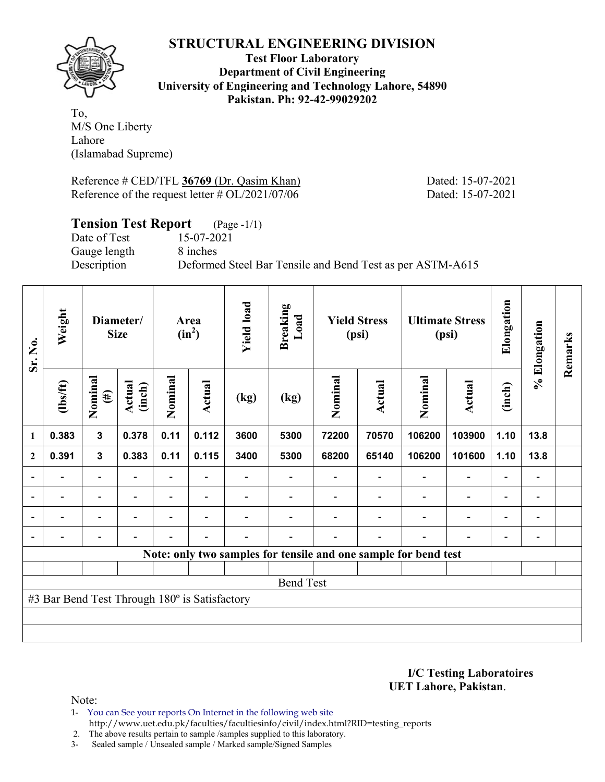

**Test Floor Laboratory Department of Civil Engineering University of Engineering and Technology Lahore, 54890 Pakistan. Ph: 92-42-99029202** 

To, M/S One Liberty Lahore (Islamabad Supreme)

Reference # CED/TFL 36769 (Dr. Qasim Khan) Dated: 15-07-2021 Reference of the request letter # OL/2021/07/06 Dated: 15-07-2021

## **Tension Test Report** (Page -1/1)

Gauge length 8 inches

Date of Test 15-07-2021 Description Deformed Steel Bar Tensile and Bend Test as per ASTM-A615

| Sr. No.                  | Weight                                        | Diameter/<br><b>Size</b> |                          | Area<br>$(in^2)$ |                          | <b>Yield load</b>        | <b>Breaking</b><br>Load | <b>Yield Stress</b><br>(psi) |                          | <b>Ultimate Stress</b><br>(psi)                                 |                          | Elongation               | % Elongation                 | Remarks |  |
|--------------------------|-----------------------------------------------|--------------------------|--------------------------|------------------|--------------------------|--------------------------|-------------------------|------------------------------|--------------------------|-----------------------------------------------------------------|--------------------------|--------------------------|------------------------------|---------|--|
|                          | $lbsft$                                       | Nominal<br>$(\#)$        | Actual<br>(inch)         | Nominal          | Actual                   | (kg)                     | (kg)                    | Nominal                      | Actual                   | Nominal                                                         | Actual                   | (inch)                   |                              |         |  |
| 1                        | 0.383                                         | $\mathbf{3}$             | 0.378                    | 0.11             | 0.112                    | 3600                     | 5300                    | 72200                        | 70570                    | 106200                                                          | 103900                   | 1.10                     | 13.8                         |         |  |
| $\mathbf{2}$             | 0.391                                         | $\mathbf{3}$             | 0.383                    | 0.11             | 0.115                    | 3400                     | 5300                    | 68200                        | 65140                    | 106200                                                          | 101600                   | 1.10                     | 13.8                         |         |  |
|                          |                                               | $\overline{\phantom{0}}$ |                          |                  |                          |                          |                         |                              |                          |                                                                 | $\overline{\phantom{0}}$ | $\overline{\phantom{0}}$ |                              |         |  |
| $\overline{\phantom{0}}$ | $\overline{\phantom{0}}$                      | $\blacksquare$           | $\overline{\phantom{a}}$ |                  | $\blacksquare$           | $\overline{\phantom{0}}$ |                         |                              | $\overline{\phantom{a}}$ | $\overline{\phantom{a}}$                                        | $\overline{\phantom{a}}$ | $\overline{\phantom{a}}$ | $\overline{\phantom{a}}$     |         |  |
| $\overline{\phantom{0}}$ | -                                             | $\overline{\phantom{0}}$ | $\overline{\phantom{0}}$ |                  | $\overline{\phantom{0}}$ |                          |                         |                              |                          | ٠                                                               | $\overline{\phantom{0}}$ | $\overline{\phantom{0}}$ | $\qquad \qquad \blacksquare$ |         |  |
| $\overline{\phantom{0}}$ | $\overline{a}$                                | -                        | $\overline{\phantom{0}}$ | $\blacksquare$   | $\blacksquare$           | $\blacksquare$           |                         |                              | $\overline{\phantom{0}}$ | ÷                                                               | $\overline{\phantom{0}}$ | $\overline{\phantom{a}}$ | $\qquad \qquad \blacksquare$ |         |  |
|                          |                                               |                          |                          |                  |                          |                          |                         |                              |                          | Note: only two samples for tensile and one sample for bend test |                          |                          |                              |         |  |
|                          |                                               |                          |                          |                  |                          |                          |                         |                              |                          |                                                                 |                          |                          |                              |         |  |
|                          | <b>Bend Test</b>                              |                          |                          |                  |                          |                          |                         |                              |                          |                                                                 |                          |                          |                              |         |  |
|                          | #3 Bar Bend Test Through 180° is Satisfactory |                          |                          |                  |                          |                          |                         |                              |                          |                                                                 |                          |                          |                              |         |  |
|                          |                                               |                          |                          |                  |                          |                          |                         |                              |                          |                                                                 |                          |                          |                              |         |  |
|                          |                                               |                          |                          |                  |                          |                          |                         |                              |                          |                                                                 |                          |                          |                              |         |  |

**I/C Testing Laboratoires UET Lahore, Pakistan**.

Note:

- 1- You can See your reports On Internet in the following web site http://www.uet.edu.pk/faculties/facultiesinfo/civil/index.html?RID=testing\_reports
- 2. The above results pertain to sample /samples supplied to this laboratory.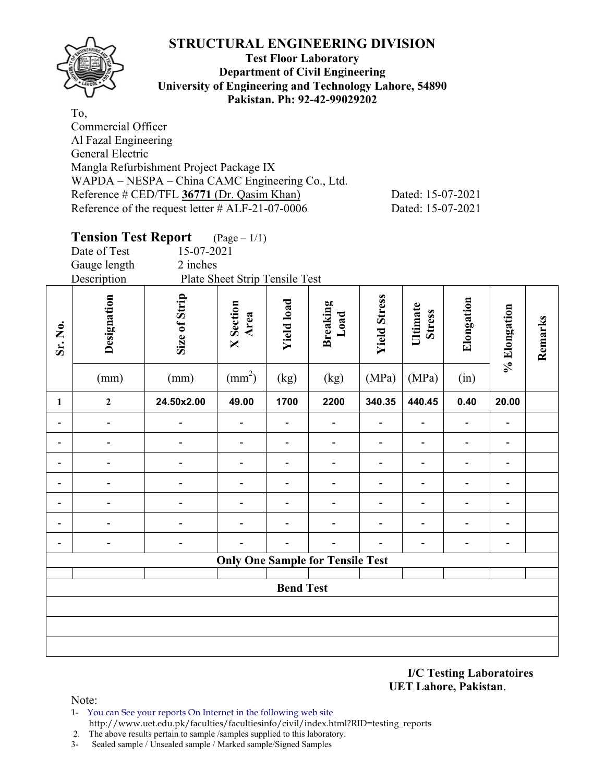

#### **Test Floor Laboratory Department of Civil Engineering University of Engineering and Technology Lahore, 54890 Pakistan. Ph: 92-42-99029202**

To, Commercial Officer Al Fazal Engineering General Electric Mangla Refurbishment Project Package IX WAPDA – NESPA – China CAMC Engineering Co., Ltd. Reference # CED/TFL **36771** (Dr. Qasim Khan) Dated: 15-07-2021 Reference of the request letter # ALF-21-07-0006 Dated: 15-07-2021

# **Tension Test Report** (Page – 1/1) Date of Test 15-07-2021 Gauge length 2 inches Description Plate Sheet Strip Tensile Test **Designation**<br>
Size of Strip<br>
X Section<br>
Xield load<br>
Breaking<br>
Load<br>
Vield Stress<br>
Stress **Elongation**  Elongation **% Elongation**  % Elongation **Remarks**  Remarks **Sr. No.**   $\text{(mm)}$   $\text{(mm)}$   $\text{(mm)}$  $(kg)$   $(kg)$   $(MPa)$   $(MPa)$   $(in)$ **1 2 24.50x2.00 49.00 1700 2200 340.35 440.45 0.40 20.00 - - - - - - - - - - - - - - - - - - - - - - - - - - - - - - - - - - - - - - - - - - - - - - - - - - - - - - - - - - - - - - - - - - - - - - Only One Sample for Tensile Test Bend Test**

**I/C Testing Laboratoires UET Lahore, Pakistan**.

- 1- You can See your reports On Internet in the following web site http://www.uet.edu.pk/faculties/facultiesinfo/civil/index.html?RID=testing\_reports
- 2. The above results pertain to sample /samples supplied to this laboratory.
- 3- Sealed sample / Unsealed sample / Marked sample/Signed Samples